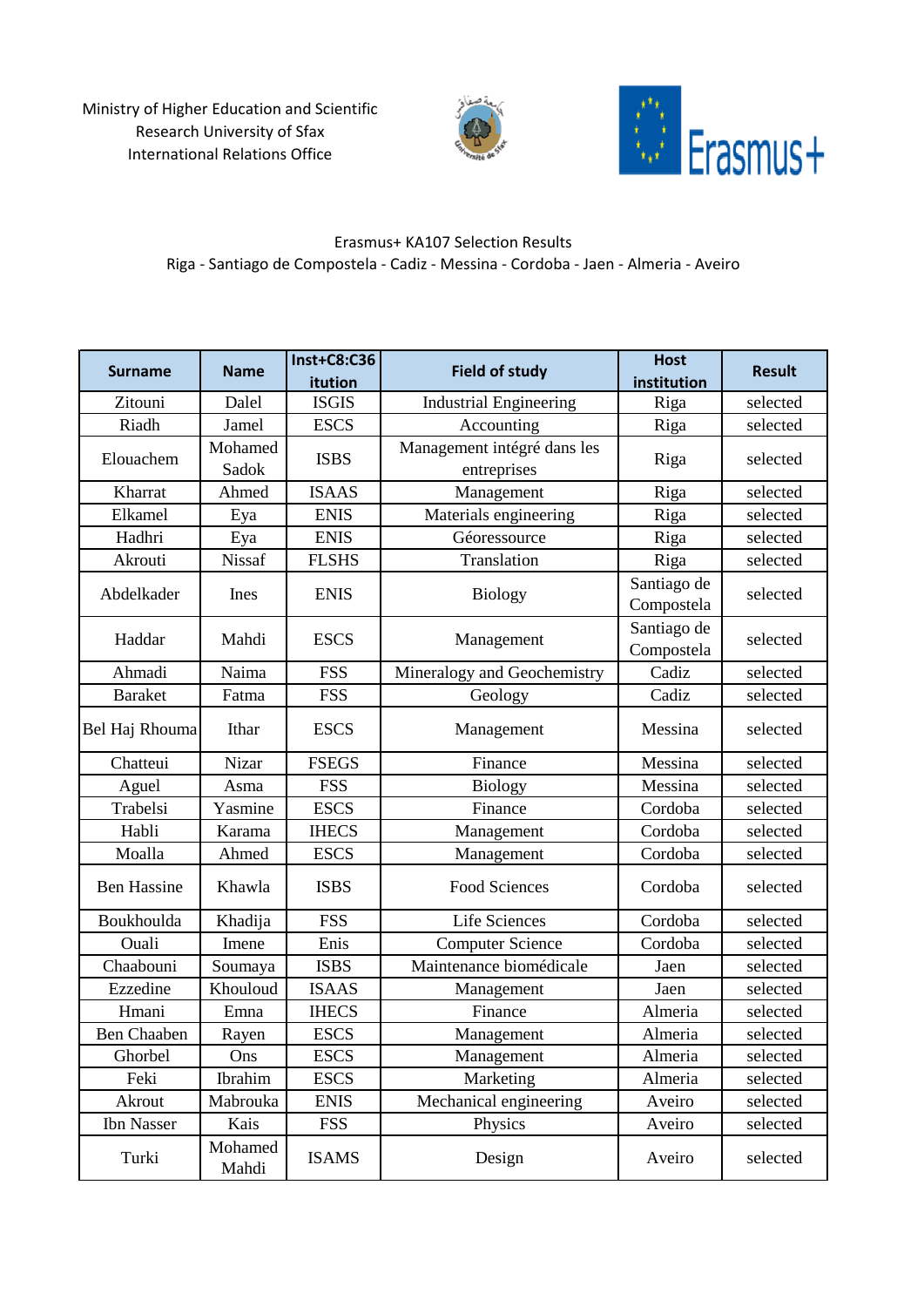Ministry of Higher Education and Scientific Research University of Sfax International Relations Office





## Erasmus+ KA107 Selection Results Riga - Santiago de Compostela - Cadiz - Messina - Cordoba - Jaen - Almeria - Aveiro

| <b>Surname</b>     | <b>Name</b>      | <b>Inst+C8:C36</b> | <b>Field of study</b>         | <b>Host</b> | <b>Result</b> |
|--------------------|------------------|--------------------|-------------------------------|-------------|---------------|
|                    |                  | itution            |                               | institution |               |
| Zitouni            | Dalel            | <b>ISGIS</b>       | <b>Industrial Engineering</b> | Riga        | selected      |
| Riadh              | Jamel            | <b>ESCS</b>        | Accounting                    | Riga        | selected      |
| Elouachem          | Mohamed          | <b>ISBS</b>        | Management intégré dans les   | Riga        | selected      |
|                    | Sadok            |                    | entreprises                   |             |               |
| Kharrat            | Ahmed            | <b>ISAAS</b>       | Management                    | Riga        | selected      |
| Elkamel            | Eya              | <b>ENIS</b>        | Materials engineering         | Riga        | selected      |
| Hadhri             | Eya              | <b>ENIS</b>        | Géoressource                  | Riga        | selected      |
| Akrouti            | <b>Nissaf</b>    | <b>FLSHS</b>       | Translation                   | Riga        | selected      |
| Abdelkader         | Ines             | <b>ENIS</b>        | <b>Biology</b>                | Santiago de | selected      |
|                    |                  |                    |                               | Compostela  |               |
| Haddar             | Mahdi            | <b>ESCS</b>        | Management                    | Santiago de | selected      |
|                    |                  |                    |                               | Compostela  |               |
| Ahmadi             | Naima            | <b>FSS</b>         | Mineralogy and Geochemistry   | Cadiz       | selected      |
| <b>Baraket</b>     | Fatma            | <b>FSS</b>         | Geology                       | Cadiz       | selected      |
| Bel Haj Rhouma     | Ithar            | <b>ESCS</b>        | Management                    | Messina     | selected      |
| Chatteui           | Nizar            | <b>FSEGS</b>       | Finance                       | Messina     | selected      |
| Aguel              | Asma             | <b>FSS</b>         | <b>Biology</b>                | Messina     | selected      |
| Trabelsi           | Yasmine          | <b>ESCS</b>        | Finance                       | Cordoba     | selected      |
| Habli              | Karama           | <b>IHECS</b>       | Management                    | Cordoba     | selected      |
| Moalla             | Ahmed            | <b>ESCS</b>        | Management                    | Cordoba     | selected      |
| <b>Ben Hassine</b> | Khawla           | <b>ISBS</b>        | <b>Food Sciences</b>          | Cordoba     | selected      |
| Boukhoulda         | Khadija          | <b>FSS</b>         | Life Sciences                 | Cordoba     | selected      |
| Ouali              | Imene            | Enis               | <b>Computer Science</b>       | Cordoba     | selected      |
| Chaabouni          | Soumaya          | <b>ISBS</b>        | Maintenance biomédicale       | Jaen        | selected      |
| Ezzedine           | Khouloud         | <b>ISAAS</b>       | Management                    | Jaen        | selected      |
| Hmani              | Emna             | <b>IHECS</b>       | Finance                       | Almeria     | selected      |
| <b>Ben Chaaben</b> | Rayen            | <b>ESCS</b>        | Management                    | Almeria     | selected      |
| Ghorbel            | Ons              | <b>ESCS</b>        | Management                    | Almeria     | selected      |
| Feki               | Ibrahim          | <b>ESCS</b>        | Marketing                     | Almeria     | selected      |
| Akrout             | Mabrouka         | <b>ENIS</b>        | Mechanical engineering        | Aveiro      | selected      |
| <b>Ibn Nasser</b>  | Kais             | <b>FSS</b>         | Physics                       | Aveiro      | selected      |
| Turki              | Mohamed<br>Mahdi | <b>ISAMS</b>       | Design                        | Aveiro      | selected      |